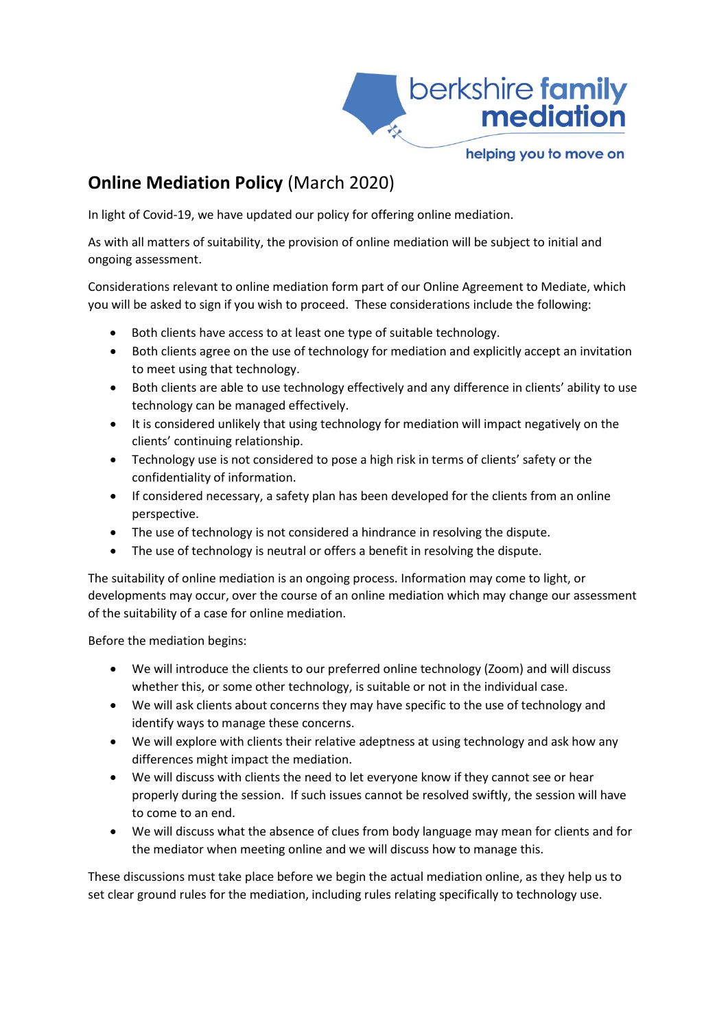

## helping you to move on

## **Online Mediation Policy** (March 2020)

In light of Covid-19, we have updated our policy for offering online mediation.

As with all matters of suitability, the provision of online mediation will be subject to initial and ongoing assessment.

Considerations relevant to online mediation form part of our Online Agreement to Mediate, which you will be asked to sign if you wish to proceed. These considerations include the following:

- Both clients have access to at least one type of suitable technology.
- Both clients agree on the use of technology for mediation and explicitly accept an invitation to meet using that technology.
- Both clients are able to use technology effectively and any difference in clients' ability to use technology can be managed effectively.
- It is considered unlikely that using technology for mediation will impact negatively on the clients' continuing relationship.
- Technology use is not considered to pose a high risk in terms of clients' safety or the confidentiality of information.
- If considered necessary, a safety plan has been developed for the clients from an online perspective.
- The use of technology is not considered a hindrance in resolving the dispute.
- The use of technology is neutral or offers a benefit in resolving the dispute.

The suitability of online mediation is an ongoing process. Information may come to light, or developments may occur, over the course of an online mediation which may change our assessment of the suitability of a case for online mediation.

Before the mediation begins:

- We will introduce the clients to our preferred online technology (Zoom) and will discuss whether this, or some other technology, is suitable or not in the individual case.
- We will ask clients about concerns they may have specific to the use of technology and identify ways to manage these concerns.
- We will explore with clients their relative adeptness at using technology and ask how any differences might impact the mediation.
- We will discuss with clients the need to let everyone know if they cannot see or hear properly during the session. If such issues cannot be resolved swiftly, the session will have to come to an end.
- We will discuss what the absence of clues from body language may mean for clients and for the mediator when meeting online and we will discuss how to manage this.

These discussions must take place before we begin the actual mediation online, as they help us to set clear ground rules for the mediation, including rules relating specifically to technology use.